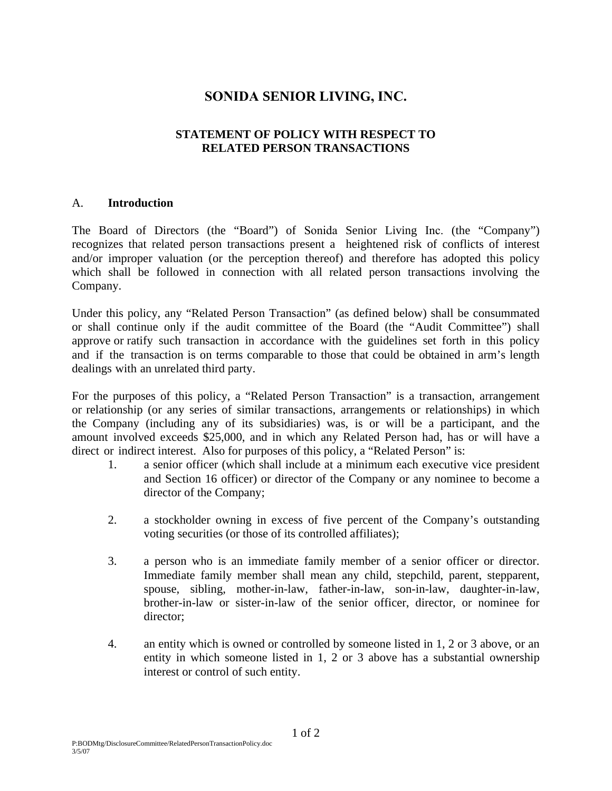# **SONIDA SENIOR LIVING, INC.**

## **STATEMENT OF POLICY WITH RESPECT TO RELATED PERSON TRANSACTIONS**

#### A. **Introduction**

The Board of Directors (the "Board") of Sonida Senior Living Inc. (the "Company") recognizes that related person transactions present a heightened risk of conflicts of interest and/or improper valuation (or the perception thereof) and therefore has adopted this policy which shall be followed in connection with all related person transactions involving the Company.

Under this policy, any "Related Person Transaction" (as defined below) shall be consummated or shall continue only if the audit committee of the Board (the "Audit Committee") shall approve or ratify such transaction in accordance with the guidelines set forth in this policy and if the transaction is on terms comparable to those that could be obtained in arm's length dealings with an unrelated third party.

For the purposes of this policy, a "Related Person Transaction" is a transaction, arrangement or relationship (or any series of similar transactions, arrangements or relationships) in which the Company (including any of its subsidiaries) was, is or will be a participant, and the amount involved exceeds \$25,000, and in which any Related Person had, has or will have a direct or indirect interest. Also for purposes of this policy, a "Related Person" is:

- 1. a senior officer (which shall include at a minimum each executive vice president and Section 16 officer) or director of the Company or any nominee to become a director of the Company;
- 2. a stockholder owning in excess of five percent of the Company's outstanding voting securities (or those of its controlled affiliates);
- 3. a person who is an immediate family member of a senior officer or director. Immediate family member shall mean any child, stepchild, parent, stepparent, spouse, sibling, mother-in-law, father-in-law, son-in-law, daughter-in-law, brother-in-law or sister-in-law of the senior officer, director, or nominee for director;
- 4. an entity which is owned or controlled by someone listed in 1, 2 or 3 above, or an entity in which someone listed in 1, 2 or 3 above has a substantial ownership interest or control of such entity.